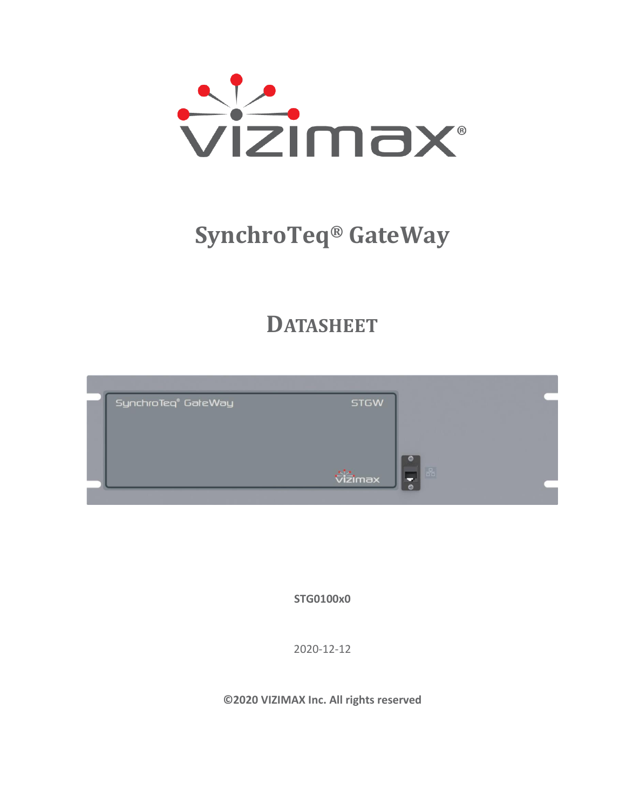

# **SynchroTeq® GateWay**

# **DATASHEET**

| SynchroTeq® GałeWay | <b>STGW</b> |                                 |
|---------------------|-------------|---------------------------------|
|                     |             |                                 |
|                     |             |                                 |
|                     |             | $\frac{\alpha}{\alpha^2\alpha}$ |
|                     | vizimax     |                                 |

**STG0100x0**

2020-12-12

**©2020 VIZIMAX Inc. All rights reserved**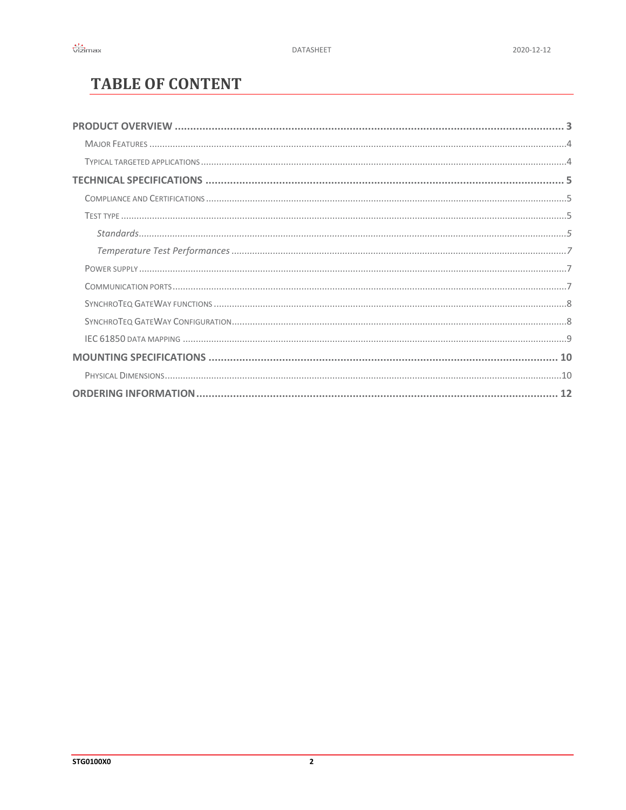# **TABLE OF CONTENT**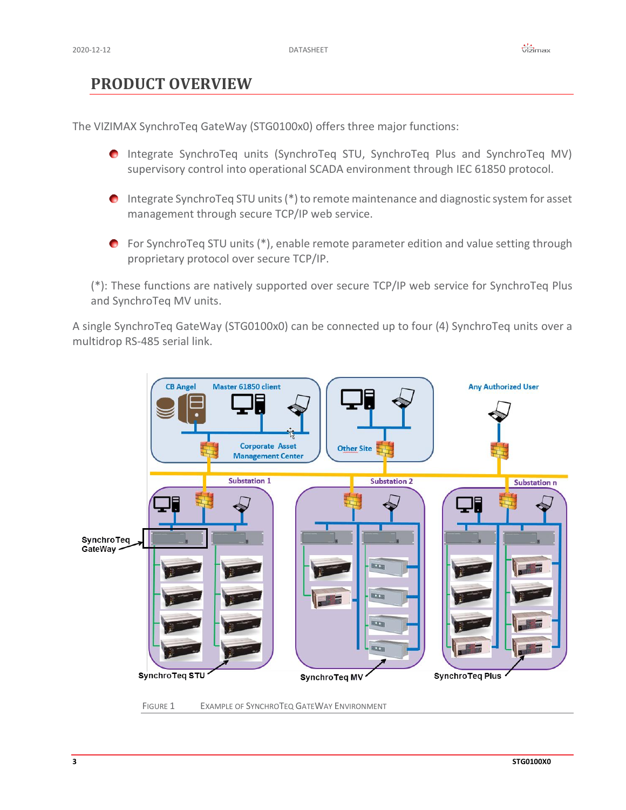## <span id="page-2-0"></span>**PRODUCT OVERVIEW**

The VIZIMAX SynchroTeq GateWay (STG0100x0) offers three major functions:

- Integrate SynchroTeq units (SynchroTeq STU, SynchroTeq Plus and SynchroTeq MV) supervisory control into operational SCADA environment through IEC 61850 protocol.
- Integrate SynchroTeq STU units (\*) to remote maintenance and diagnostic system for asset management through secure TCP/IP web service.
- For SynchroTeq STU units (\*), enable remote parameter edition and value setting through proprietary protocol over secure TCP/IP.

(\*): These functions are natively supported over secure TCP/IP web service for SynchroTeq Plus and SynchroTeq MV units.

A single SynchroTeq GateWay (STG0100x0) can be connected up to four (4) SynchroTeq units over a multidrop RS-485 serial link.



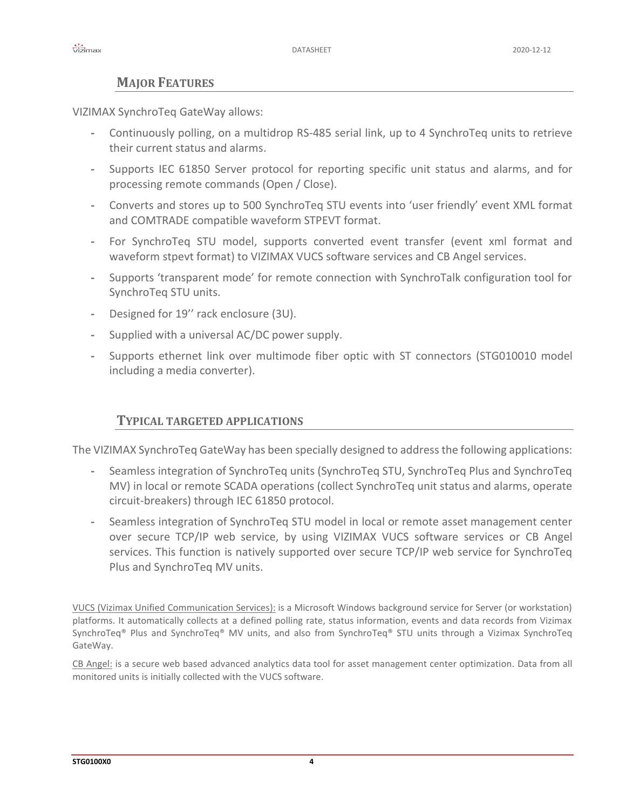#### **MAJOR FEATURES**

<span id="page-3-0"></span>VIZIMAX SynchroTeq GateWay allows:

- **-** Continuously polling, on a multidrop RS-485 serial link, up to 4 SynchroTeq units to retrieve their current status and alarms.
- **-** Supports IEC 61850 Server protocol for reporting specific unit status and alarms, and for processing remote commands (Open / Close).
- **-** Converts and stores up to 500 SynchroTeq STU events into 'user friendly' event XML format and COMTRADE compatible waveform STPEVT format.
- **-** For SynchroTeq STU model, supports converted event transfer (event xml format and waveform stpevt format) to VIZIMAX VUCS software services and CB Angel services.
- **-** Supports 'transparent mode' for remote connection with SynchroTalk configuration tool for SynchroTeq STU units.
- **-** Designed for 19'' rack enclosure (3U).
- **-** Supplied with a universal AC/DC power supply.
- **-** Supports ethernet link over multimode fiber optic with ST connectors (STG010010 model including a media converter).

#### **TYPICAL TARGETED APPLICATIONS**

<span id="page-3-1"></span>The VIZIMAX SynchroTeq GateWay has been specially designed to address the following applications:

- **-** Seamless integration of SynchroTeq units (SynchroTeq STU, SynchroTeq Plus and SynchroTeq MV) in local or remote SCADA operations (collect SynchroTeq unit status and alarms, operate circuit-breakers) through IEC 61850 protocol.
- **-** Seamless integration of SynchroTeq STU model in local or remote asset management center over secure TCP/IP web service, by using VIZIMAX VUCS software services or CB Angel services. This function is natively supported over secure TCP/IP web service for SynchroTeq Plus and SynchroTeq MV units.

VUCS (Vizimax Unified Communication Services): is a Microsoft Windows background service for Server (or workstation) platforms. It automatically collects at a defined polling rate, status information, events and data records from Vizimax SynchroTeq® Plus and SynchroTeq® MV units, and also from SynchroTeq® STU units through a Vizimax SynchroTeq GateWay.

CB Angel: is a secure web based advanced analytics data tool for asset management center optimization. Data from all monitored units is initially collected with the VUCS software.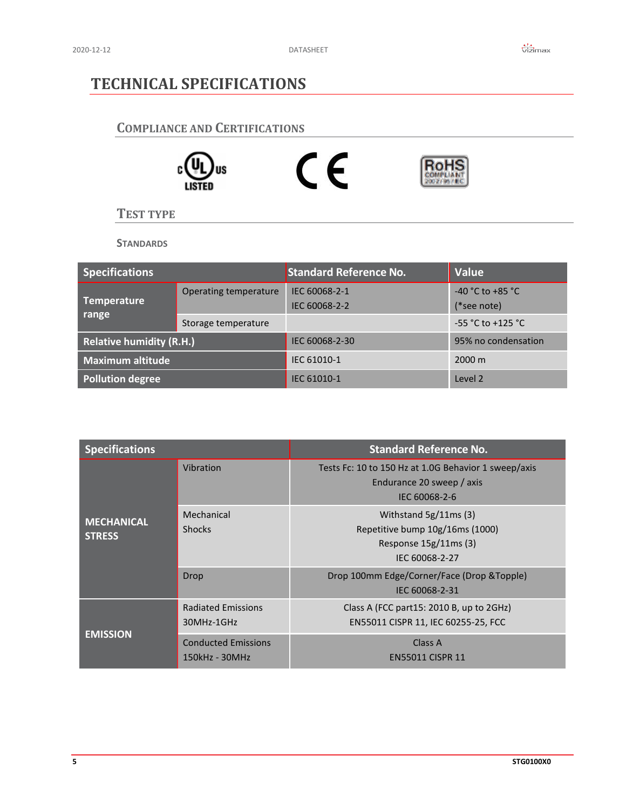## <span id="page-4-0"></span>**TECHNICAL SPECIFICATIONS**

#### <span id="page-4-1"></span>**COMPLIANCE AND CERTIFICATIONS**



<span id="page-4-2"></span>**TEST TYPE**

**STANDARDS**

<span id="page-4-3"></span>

| <b>Specifications</b>           |                       | <b>Standard Reference No.</b>  | <b>Value</b>                        |
|---------------------------------|-----------------------|--------------------------------|-------------------------------------|
| Temperature                     | Operating temperature | IEC 60068-2-1<br>IEC 60068-2-2 | $-40$ °C to $+85$ °C<br>(*see note) |
| range                           | Storage temperature   |                                | $-55$ °C to +125 °C                 |
| <b>Relative humidity (R.H.)</b> |                       | IEC 60068-2-30                 | 95% no condensation                 |
| <b>Maximum altitude</b>         |                       | IEC 61010-1                    | $2000 \text{ m}$                    |
| <b>Pollution degree</b>         |                       | IEC 61010-1                    | Level 2                             |

| <b>Specifications</b>              |                                              | <b>Standard Reference No.</b>                                                                        |
|------------------------------------|----------------------------------------------|------------------------------------------------------------------------------------------------------|
|                                    | Vibration                                    | Tests Fc: 10 to 150 Hz at 1.0G Behavior 1 sweep/axis<br>Endurance 20 sweep / axis<br>IEC 60068-2-6   |
| <b>MECHANICAL</b><br><b>STRESS</b> | Mechanical<br><b>Shocks</b>                  | Withstand $5g/11ms(3)$<br>Repetitive bump 10g/16ms (1000)<br>Response 15g/11ms (3)<br>IEC 60068-2-27 |
|                                    | Drop                                         | Drop 100mm Edge/Corner/Face (Drop & Topple)<br>IEC 60068-2-31                                        |
|                                    | <b>Radiated Emissions</b><br>30MHz-1GHz      | Class A (FCC part15: 2010 B, up to 2GHz)<br>EN55011 CISPR 11, IEC 60255-25, FCC                      |
| <b>EMISSION</b>                    | <b>Conducted Emissions</b><br>150kHz - 30MHz | Class A<br><b>EN55011 CISPR 11</b>                                                                   |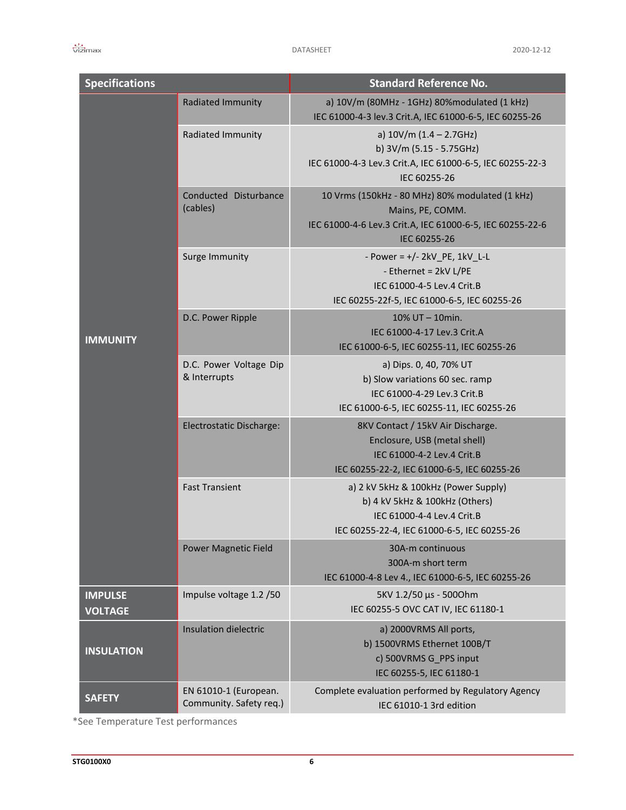| <b>Specifications</b>            |                                                  | <b>Standard Reference No.</b>                                                                                                                       |
|----------------------------------|--------------------------------------------------|-----------------------------------------------------------------------------------------------------------------------------------------------------|
|                                  | Radiated Immunity                                | a) 10V/m (80MHz - 1GHz) 80%modulated (1 kHz)<br>IEC 61000-4-3 lev.3 Crit.A, IEC 61000-6-5, IEC 60255-26                                             |
|                                  | Radiated Immunity                                | a) $10V/m$ (1.4 - 2.7GHz)<br>b) 3V/m (5.15 - 5.75GHz)<br>IEC 61000-4-3 Lev.3 Crit.A, IEC 61000-6-5, IEC 60255-22-3<br>IEC 60255-26                  |
|                                  | Conducted Disturbance<br>(cables)                | 10 Vrms (150kHz - 80 MHz) 80% modulated (1 kHz)<br>Mains, PE, COMM.<br>IEC 61000-4-6 Lev.3 Crit.A, IEC 61000-6-5, IEC 60255-22-6<br>IEC 60255-26    |
|                                  | Surge Immunity                                   | - Power = $+/- 2kV$ PE, 1kV L-L<br>- Ethernet = 2kV L/PE<br>IEC 61000-4-5 Lev.4 Crit.B<br>IEC 60255-22f-5, IEC 61000-6-5, IEC 60255-26              |
| <b>IMMUNITY</b>                  | D.C. Power Ripple                                | 10% UT - 10min.<br>IEC 61000-4-17 Lev.3 Crit.A<br>IEC 61000-6-5, IEC 60255-11, IEC 60255-26                                                         |
|                                  | D.C. Power Voltage Dip<br>& Interrupts           | a) Dips. 0, 40, 70% UT<br>b) Slow variations 60 sec. ramp<br>IEC 61000-4-29 Lev.3 Crit.B<br>IEC 61000-6-5, IEC 60255-11, IEC 60255-26               |
|                                  | Electrostatic Discharge:                         | 8KV Contact / 15kV Air Discharge.<br>Enclosure, USB (metal shell)<br>IEC 61000-4-2 Lev.4 Crit.B<br>IEC 60255-22-2, IEC 61000-6-5, IEC 60255-26      |
|                                  | <b>Fast Transient</b>                            | a) 2 kV 5kHz & 100kHz (Power Supply)<br>b) 4 kV 5kHz & 100kHz (Others)<br>IEC 61000-4-4 Lev.4 Crit.B<br>IEC 60255-22-4, IEC 61000-6-5, IEC 60255-26 |
|                                  | <b>Power Magnetic Field</b>                      | 30A-m continuous<br>300A-m short term<br>IEC 61000-4-8 Lev 4., IEC 61000-6-5, IEC 60255-26                                                          |
| <b>IMPULSE</b><br><b>VOLTAGE</b> | Impulse voltage 1.2 /50                          | 5KV 1.2/50 μs - 5000hm<br>IEC 60255-5 OVC CAT IV, IEC 61180-1                                                                                       |
| <b>INSULATION</b>                | Insulation dielectric                            | a) 2000VRMS All ports,<br>b) 1500VRMS Ethernet 100B/T<br>c) 500VRMS G_PPS input<br>IEC 60255-5, IEC 61180-1                                         |
| <b>SAFETY</b>                    | EN 61010-1 (European.<br>Community. Safety req.) | Complete evaluation performed by Regulatory Agency<br>IEC 61010-1 3rd edition                                                                       |

\*See Temperature Test performances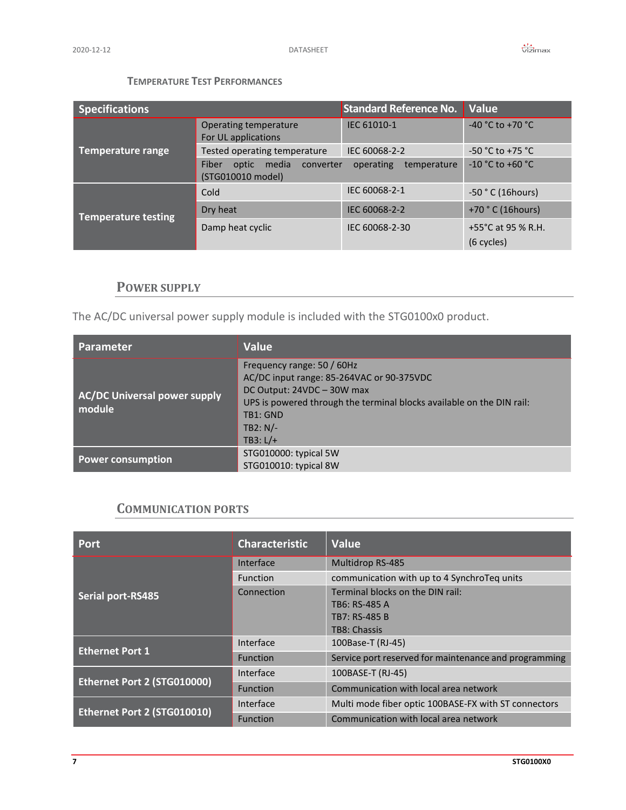#### **TEMPERATURE TEST PERFORMANCES**

<span id="page-6-0"></span>

| <b>Specifications</b>      |                                                           | <b>Standard Reference No.</b> | <b>Value</b>                                |
|----------------------------|-----------------------------------------------------------|-------------------------------|---------------------------------------------|
|                            | Operating temperature<br>For UL applications              | IEC 61010-1                   | $-40 °C$ to $+70 °C$                        |
| <b>Temperature range</b>   | Tested operating temperature                              | IEC 60068-2-2                 | $-50 °C$ to $+75 °C$                        |
|                            | Fiber<br>media<br>converter<br>optic<br>(STG010010 model) | temperature<br>operating      | $-10 °C$ to $+60 °C$                        |
|                            | Cold                                                      | IEC 60068-2-1                 | $-50$ $^{\circ}$ C (16hours)                |
| <b>Temperature testing</b> | Dry heat                                                  | IEC 60068-2-2                 | +70 ° C (16hours)                           |
|                            | Damp heat cyclic                                          | IEC 60068-2-30                | +55 $^{\circ}$ C at 95 % R.H.<br>(6 cycles) |

#### **POWER SUPPLY**

<span id="page-6-1"></span>The AC/DC universal power supply module is included with the STG0100x0 product.

| Parameter                                     | <b>Value</b>                                                                                                                                                                                                           |
|-----------------------------------------------|------------------------------------------------------------------------------------------------------------------------------------------------------------------------------------------------------------------------|
| <b>AC/DC Universal power supply</b><br>module | Frequency range: 50 / 60Hz<br>AC/DC input range: 85-264VAC or 90-375VDC<br>DC Output: 24VDC - 30W max<br>UPS is powered through the terminal blocks available on the DIN rail:<br>TB1: GND<br>$TB2: N/-$<br>TB3: $L/+$ |
| <b>Power consumption</b>                      | STG010000: typical 5W<br>STG010010: typical 8W                                                                                                                                                                         |

#### **COMMUNICATION PORTS**

<span id="page-6-2"></span>

| <b>Port</b>                 | <b>Characteristic</b> | <b>Value</b>                                          |
|-----------------------------|-----------------------|-------------------------------------------------------|
|                             | Interface             | <b>Multidrop RS-485</b>                               |
|                             | Function              | communication with up to 4 SynchroTeq units           |
| Serial port-RS485           | Connection            | Terminal blocks on the DIN rail:<br>TB6: RS-485 A     |
|                             |                       | TB7: RS-485 B                                         |
|                             |                       | TB8: Chassis                                          |
|                             | Interface             | 100Base-T (RJ-45)                                     |
| <b>Ethernet Port 1</b>      | <b>Function</b>       | Service port reserved for maintenance and programming |
|                             | Interface             | 100BASE-T (RJ-45)                                     |
| Ethernet Port 2 (STG010000) | Function              | Communication with local area network                 |
|                             | Interface             | Multi mode fiber optic 100BASE-FX with ST connectors  |
| Ethernet Port 2 (STG010010) | <b>Function</b>       | Communication with local area network                 |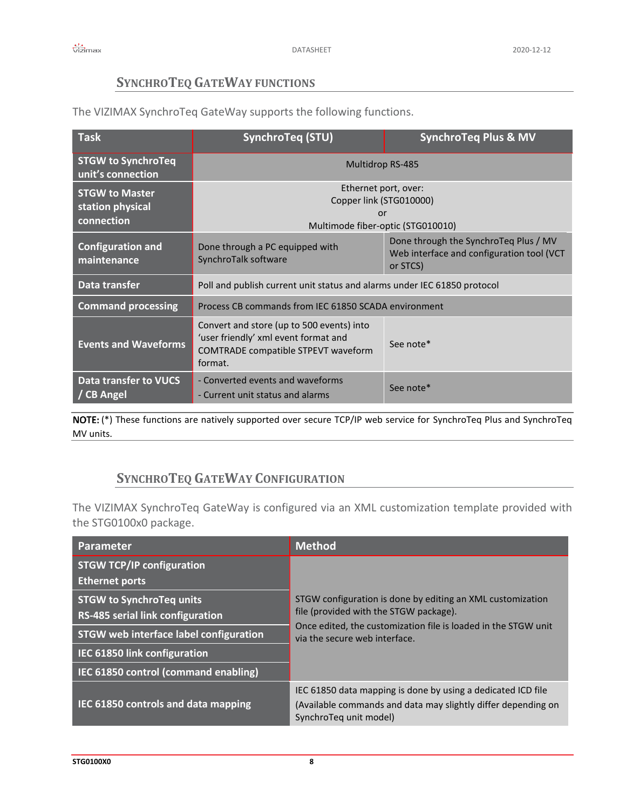#### **SYNCHROTEQ GATEWAY FUNCTIONS**

<span id="page-7-0"></span>The VIZIMAX SynchroTeq GateWay supports the following functions.

| $\overline{\mathsf{Task}}$                              | <b>SynchroTeg (STU)</b>                                                                                                                          | <b>SynchroTeq Plus &amp; MV</b>                                                                |  |
|---------------------------------------------------------|--------------------------------------------------------------------------------------------------------------------------------------------------|------------------------------------------------------------------------------------------------|--|
| <b>STGW to SynchroTeq</b><br>unit's connection          | Multidrop RS-485                                                                                                                                 |                                                                                                |  |
| <b>STGW to Master</b><br>station physical<br>connection | Ethernet port, over:<br>Copper link (STG010000)<br>or<br>Multimode fiber-optic (STG010010)                                                       |                                                                                                |  |
| <b>Configuration and</b><br>maintenance                 | Done through a PC equipped with<br>SynchroTalk software                                                                                          | Done through the SynchroTeg Plus / MV<br>Web interface and configuration tool (VCT<br>or STCS) |  |
| Data transfer                                           | Poll and publish current unit status and alarms under IEC 61850 protocol                                                                         |                                                                                                |  |
| <b>Command processing</b>                               | Process CB commands from IEC 61850 SCADA environment                                                                                             |                                                                                                |  |
| <b>Events and Waveforms</b>                             | Convert and store (up to 500 events) into<br>'user friendly' xml event format and<br>See note*<br>COMTRADE compatible STPEVT waveform<br>format. |                                                                                                |  |
| <b>Data transfer to VUCS</b><br>/ CB Angel              | - Converted events and waveforms<br>- Current unit status and alarms                                                                             | See note*                                                                                      |  |

(\*) These functions are natively supported over secure TCP/IP web service for SynchroTeq Plus and SynchroTeq MV units.

#### **SYNCHROTEQ GATEWAY CONFIGURATION**

<span id="page-7-1"></span>The VIZIMAX SynchroTeq GateWay is configured via an XML customization template provided with the STG0100x0 package.

| Parameter                                                 | <b>Method</b>                                                                                   |  |
|-----------------------------------------------------------|-------------------------------------------------------------------------------------------------|--|
| <b>STGW TCP/IP configuration</b><br><b>Ethernet ports</b> |                                                                                                 |  |
| <b>STGW to SynchroTeg units</b>                           | STGW configuration is done by editing an XML customization                                      |  |
| RS-485 serial link configuration                          | file (provided with the STGW package).                                                          |  |
| STGW web interface label configuration                    | Once edited, the customization file is loaded in the STGW unit<br>via the secure web interface. |  |
| IEC 61850 link configuration                              |                                                                                                 |  |
| IEC 61850 control (command enabling)                      |                                                                                                 |  |
|                                                           | IEC 61850 data mapping is done by using a dedicated ICD file                                    |  |
| IEC 61850 controls and data mapping                       | (Available commands and data may slightly differ depending on<br>SynchroTeq unit model)         |  |

**STG0100X0 8**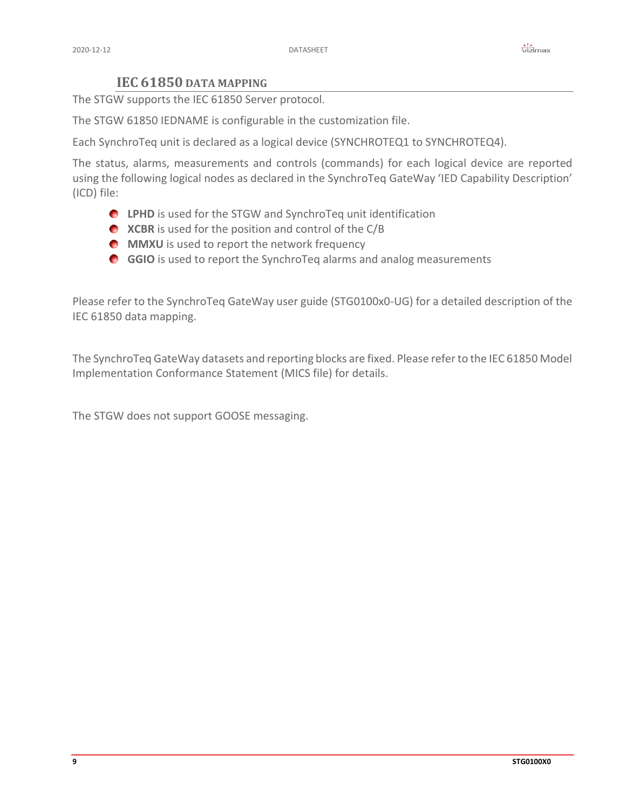#### **IEC 61850 DATA MAPPING**

<span id="page-8-0"></span>The STGW supports the IEC 61850 Server protocol.

The STGW 61850 IEDNAME is configurable in the customization file.

Each SynchroTeq unit is declared as a logical device (SYNCHROTEQ1 to SYNCHROTEQ4).

The status, alarms, measurements and controls (commands) for each logical device are reported using the following logical nodes as declared in the SynchroTeq GateWay 'IED Capability Description' (ICD) file:

- **C** LPHD is used for the STGW and SynchroTeq unit identification
- **XCBR** is used for the position and control of the C/B
- **MMXU** is used to report the network frequency
- **GGIO** is used to report the SynchroTeq alarms and analog measurements

Please refer to the SynchroTeq GateWay user guide (STG0100x0-UG) for a detailed description of the IEC 61850 data mapping.

The SynchroTeq GateWay datasets and reporting blocks are fixed. Please refer to the IEC 61850 Model Implementation Conformance Statement (MICS file) for details.

The STGW does not support GOOSE messaging.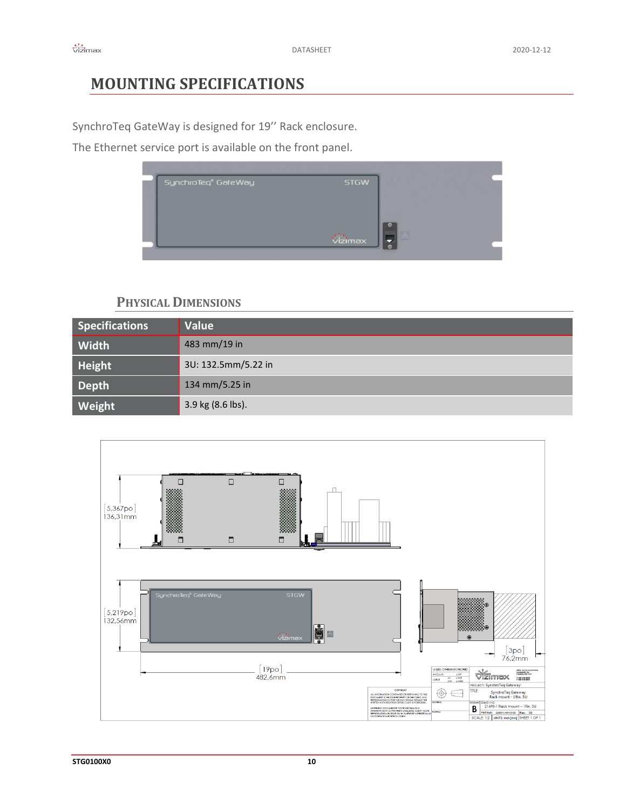# <span id="page-9-0"></span>**MOUNTING SPECIFICATIONS**

SynchroTeq GateWay is designed for 19'' Rack enclosure.

The Ethernet service port is available on the front panel.



#### **PHYSICAL DIMENSIONS**

<span id="page-9-1"></span>

| <b>Specifications</b> | <b>Value</b>        |
|-----------------------|---------------------|
| Width                 | 483 mm/19 in        |
| Height                | 3U: 132.5mm/5.22 in |
| <b>Depth</b>          | 134 mm/5.25 in      |
| Weight                | 3.9 kg (8.6 lbs).   |

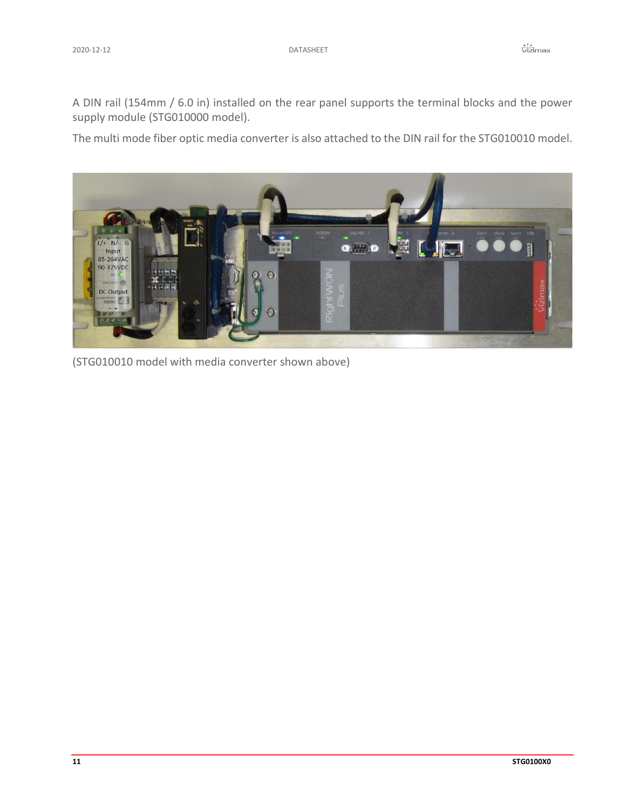A DIN rail (154mm / 6.0 in) installed on the rear panel supports the terminal blocks and the power supply module (STG010000 model).

The multi mode fiber optic media converter is also attached to the DIN rail for the STG010010 model.



(STG010010 model with media converter shown above)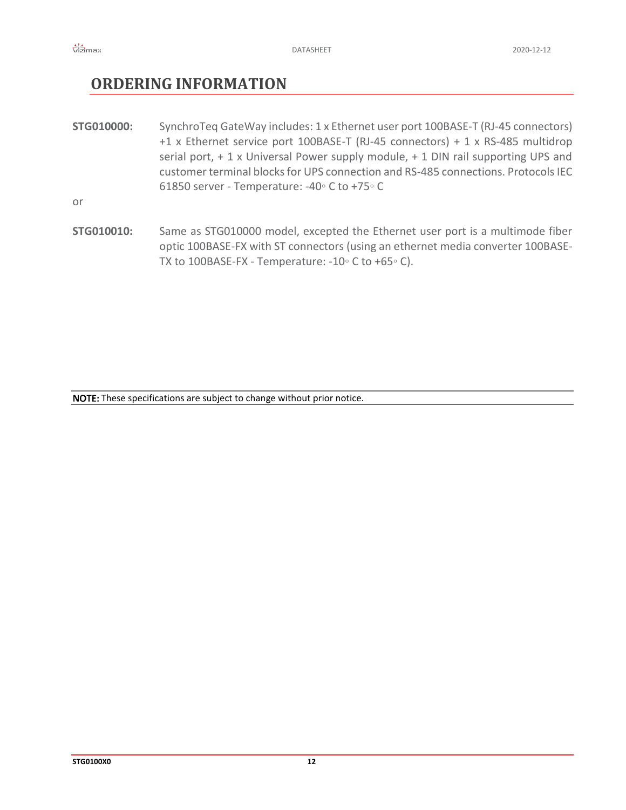## <span id="page-11-0"></span>**ORDERING INFORMATION**

**STG010000:** SynchroTeq GateWay includes: 1 x Ethernet user port 100BASE-T (RJ-45 connectors) +1 x Ethernet service port 100BASE-T (RJ-45 connectors) + 1 x RS-485 multidrop serial port,  $+1$  x Universal Power supply module,  $+1$  DIN rail supporting UPS and customer terminal blocks for UPS connection and RS-485 connections. Protocols IEC 61850 server - Temperature: -40◦ C to +75◦ C

or

**STG010010:** Same as STG010000 model, excepted the Ethernet user port is a multimode fiber optic 100BASE-FX with ST connectors (using an ethernet media converter 100BASE-TX to 100BASE-FX - Temperature: -10◦ C to +65◦ C).

NOTE: These specifications are subject to change without prior notice.